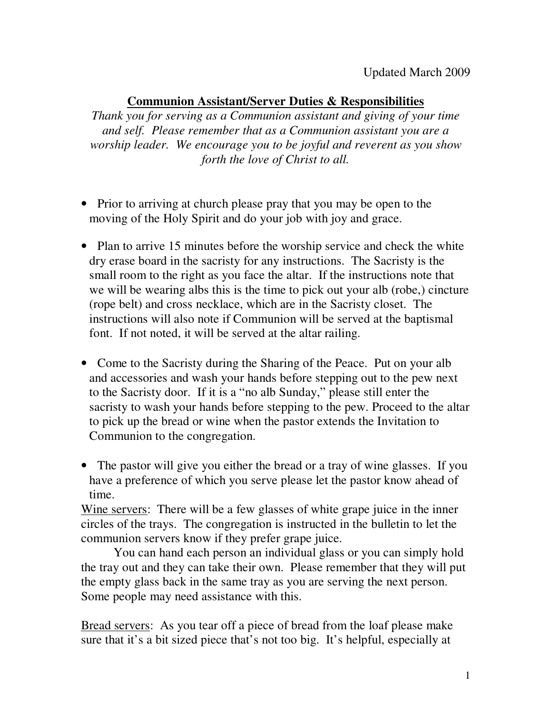## **Communion Assistant/Server Duties & Responsibilities**

*Thank you for serving as a Communion assistant and giving of your time and self. Please remember that as a Communion assistant you are a worship leader. We encourage you to be joyful and reverent as you show forth the love of Christ to all.* 

- Prior to arriving at church please pray that you may be open to the moving of the Holy Spirit and do your job with joy and grace.
- Plan to arrive 15 minutes before the worship service and check the white dry erase board in the sacristy for any instructions. The Sacristy is the small room to the right as you face the altar. If the instructions note that we will be wearing albs this is the time to pick out your alb (robe,) cincture (rope belt) and cross necklace, which are in the Sacristy closet. The instructions will also note if Communion will be served at the baptismal font. If not noted, it will be served at the altar railing.
- Come to the Sacristy during the Sharing of the Peace. Put on your alb and accessories and wash your hands before stepping out to the pew next to the Sacristy door. If it is a "no alb Sunday," please still enter the sacristy to wash your hands before stepping to the pew. Proceed to the altar to pick up the bread or wine when the pastor extends the Invitation to Communion to the congregation.
- The pastor will give you either the bread or a tray of wine glasses. If you have a preference of which you serve please let the pastor know ahead of time.

Wine servers: There will be a few glasses of white grape juice in the inner circles of the trays. The congregation is instructed in the bulletin to let the communion servers know if they prefer grape juice.

 You can hand each person an individual glass or you can simply hold the tray out and they can take their own. Please remember that they will put the empty glass back in the same tray as you are serving the next person. Some people may need assistance with this.

Bread servers: As you tear off a piece of bread from the loaf please make sure that it's a bit sized piece that's not too big. It's helpful, especially at